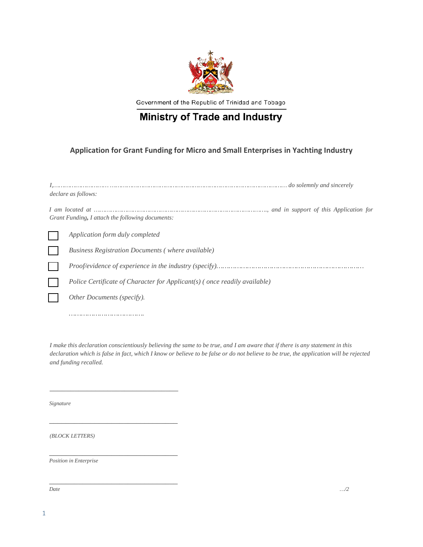

Government of the Republic of Trinidad and Tobago

## **Ministry of Trade and Industry**

## **Application for Grant Funding for Micro and Small Enterprises in Yachting Industry**

| declare as follows:                                                       |  |
|---------------------------------------------------------------------------|--|
| Grant Funding, I attach the following documents:                          |  |
| Application form duly completed                                           |  |
| Business Registration Documents (where available)                         |  |
|                                                                           |  |
| Police Certificate of Character for Applicant(s) (once readily available) |  |
| Other Documents (specify).                                                |  |
|                                                                           |  |

*I make this declaration conscientiously believing the same to be true, and I am aware that if there is any statement in this declaration which is false in fact, which I know or believe to be false or do not believe to be true, the application will be rejected and funding recalled.*

*Signature*

*(BLOCK LETTERS)*

*\_\_\_\_\_\_\_\_\_\_\_\_\_\_\_\_\_\_\_\_\_\_\_\_\_\_\_\_\_\_\_*

*\_\_\_\_\_\_\_\_\_\_\_\_\_\_\_\_\_\_\_\_\_\_\_\_\_\_\_\_\_\_\_*

*\_\_\_\_\_\_\_\_\_\_\_\_\_\_\_\_\_\_\_\_\_\_\_\_\_\_\_\_\_\_\_*

*\_\_\_\_\_\_\_\_\_\_\_\_\_\_\_\_\_\_\_\_\_\_\_\_\_\_\_\_\_\_\_*

*Position in Enterprise*

*Date …/2*